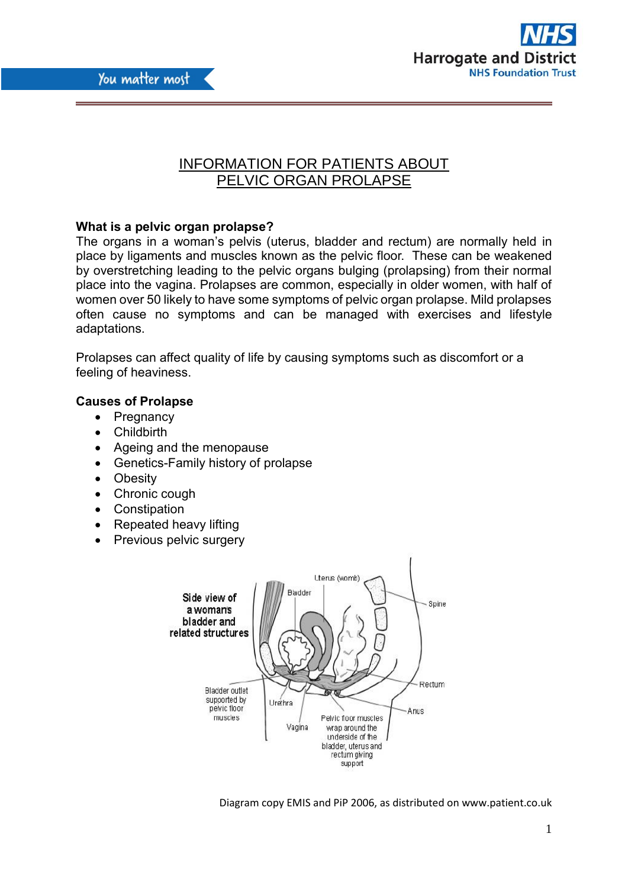



# INFORMATION FOR PATIENTS ABOUT PELVIC ORGAN PROLAPSE

## **What is a pelvic organ prolapse?**

The organs in a woman's pelvis (uterus, bladder and rectum) are normally held in place by ligaments and muscles known as the pelvic floor. These can be weakened by overstretching leading to the pelvic organs bulging (prolapsing) from their normal place into the vagina. Prolapses are common, especially in older women, with half of women over 50 likely to have some symptoms of pelvic organ prolapse. Mild prolapses often cause no symptoms and can be managed with exercises and lifestyle adaptations.

Prolapses can affect quality of life by causing symptoms such as discomfort or a feeling of heaviness.

## **Causes of Prolapse**

- Pregnancy
- Childbirth
- Ageing and the menopause
- Genetics-Family history of prolapse
- Obesity
- Chronic cough
- Constipation
- Repeated heavy lifting
- Previous pelvic surgery



Diagram copy EMIS and PiP 2006, as distributed on www.patient.co.uk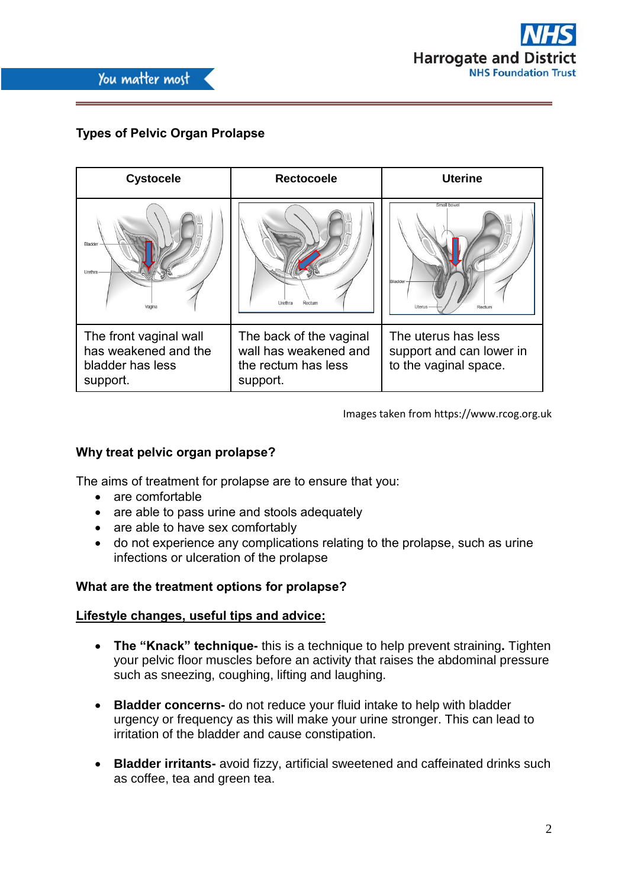

# **Types of Pelvic Organ Prolapse**

| <b>Cystocele</b>                                                               | <b>Rectocoele</b>                                                                   | <b>Uterine</b>                                                           |
|--------------------------------------------------------------------------------|-------------------------------------------------------------------------------------|--------------------------------------------------------------------------|
| <b>Bladder</b><br>Urethra                                                      | Urethra<br>Rectum                                                                   | Small bowe<br>Bladder<br><b>Uterus</b><br>Rectum                         |
| The front vaginal wall<br>has weakened and the<br>bladder has less<br>support. | The back of the vaginal<br>wall has weakened and<br>the rectum has less<br>support. | The uterus has less<br>support and can lower in<br>to the vaginal space. |

Images taken from https://www.rcog.org.uk

## **Why treat pelvic organ prolapse?**

The aims of treatment for prolapse are to ensure that you:

- are comfortable
- are able to pass urine and stools adequately
- are able to have sex comfortably
- do not experience any complications relating to the prolapse, such as urine infections or ulceration of the prolapse

## **What are the treatment options for prolapse?**

#### **Lifestyle changes, useful tips and advice:**

- **The "Knack" technique-** this is a technique to help prevent straining**.** Tighten your pelvic floor muscles before an activity that raises the abdominal pressure such as sneezing, coughing, lifting and laughing.
- **Bladder concerns-** do not reduce your fluid intake to help with bladder urgency or frequency as this will make your urine stronger. This can lead to irritation of the bladder and cause constipation.
- **Bladder irritants-** avoid fizzy, artificial sweetened and caffeinated drinks such as coffee, tea and green tea.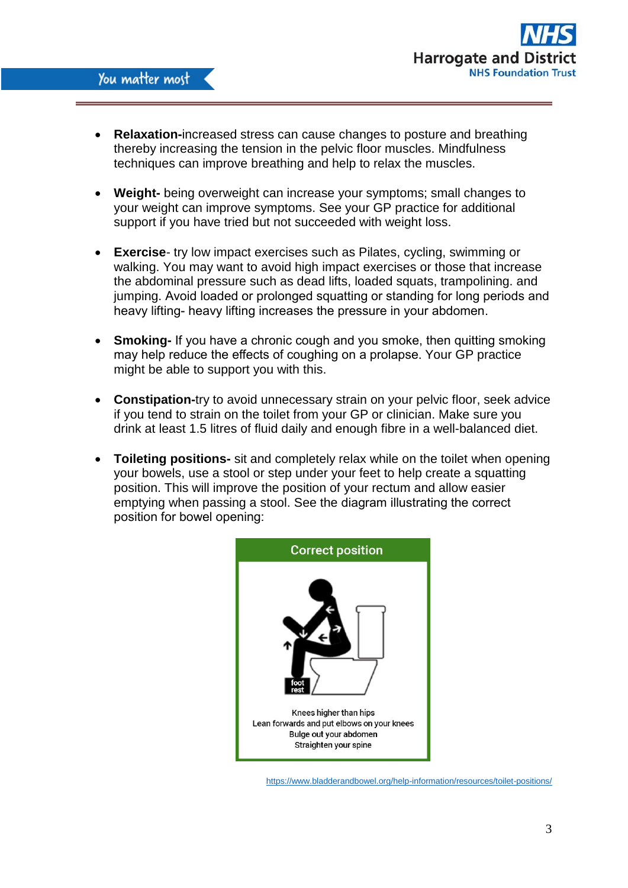

- **Relaxation-**increased stress can cause changes to posture and breathing thereby increasing the tension in the pelvic floor muscles. Mindfulness techniques can improve breathing and help to relax the muscles.
- **Weight-** being overweight can increase your symptoms; small changes to your weight can improve symptoms. See your GP practice for additional support if you have tried but not succeeded with weight loss.
- **Exercise** try low impact exercises such as Pilates, cycling, swimming or walking. You may want to avoid high impact exercises or those that increase the abdominal pressure such as dead lifts, loaded squats, trampolining. and jumping. Avoid loaded or prolonged squatting or standing for long periods and heavy lifting- heavy lifting increases the pressure in your abdomen.
- **Smoking-** If you have a chronic cough and you smoke, then quitting smoking may help reduce the effects of coughing on a prolapse. Your GP practice might be able to support you with this.
- **Constipation-**try to avoid unnecessary strain on your pelvic floor, seek advice if you tend to strain on the toilet from your GP or clinician. Make sure you drink at least 1.5 litres of fluid daily and enough fibre in a well-balanced diet.
- **Toileting positions-** sit and completely relax while on the toilet when opening your bowels, use a stool or step under your feet to help create a squatting position. This will improve the position of your rectum and allow easier emptying when passing a stool. See the diagram illustrating the correct position for bowel opening:



<https://www.bladderandbowel.org/help-information/resources/toilet-positions/>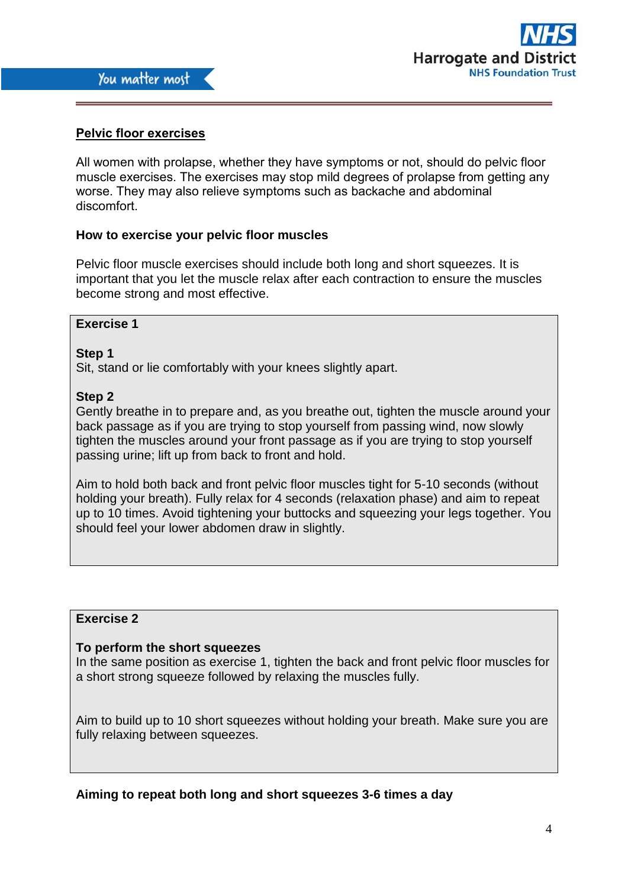

## **Pelvic floor exercises**

All women with prolapse, whether they have symptoms or not, should do pelvic floor muscle exercises. The exercises may stop mild degrees of prolapse from getting any worse. They may also relieve symptoms such as backache and abdominal discomfort.

## **How to exercise your pelvic floor muscles**

Pelvic floor muscle exercises should include both long and short squeezes. It is important that you let the muscle relax after each contraction to ensure the muscles become strong and most effective.

### **Exercise 1**

#### **Step 1**

Sit, stand or lie comfortably with your knees slightly apart.

### **Step 2**

Gently breathe in to prepare and, as you breathe out, tighten the muscle around your back passage as if you are trying to stop yourself from passing wind, now slowly tighten the muscles around your front passage as if you are trying to stop yourself passing urine; lift up from back to front and hold.

Aim to hold both back and front pelvic floor muscles tight for 5-10 seconds (without holding your breath). Fully relax for 4 seconds (relaxation phase) and aim to repeat up to 10 times. Avoid tightening your buttocks and squeezing your legs together. You should feel your lower abdomen draw in slightly.

## **Exercise 2**

#### **To perform the short squeezes**

In the same position as exercise 1, tighten the back and front pelvic floor muscles for a short strong squeeze followed by relaxing the muscles fully.

Aim to build up to 10 short squeezes without holding your breath. Make sure you are fully relaxing between squeezes.

**Aiming to repeat both long and short squeezes 3-6 times a day**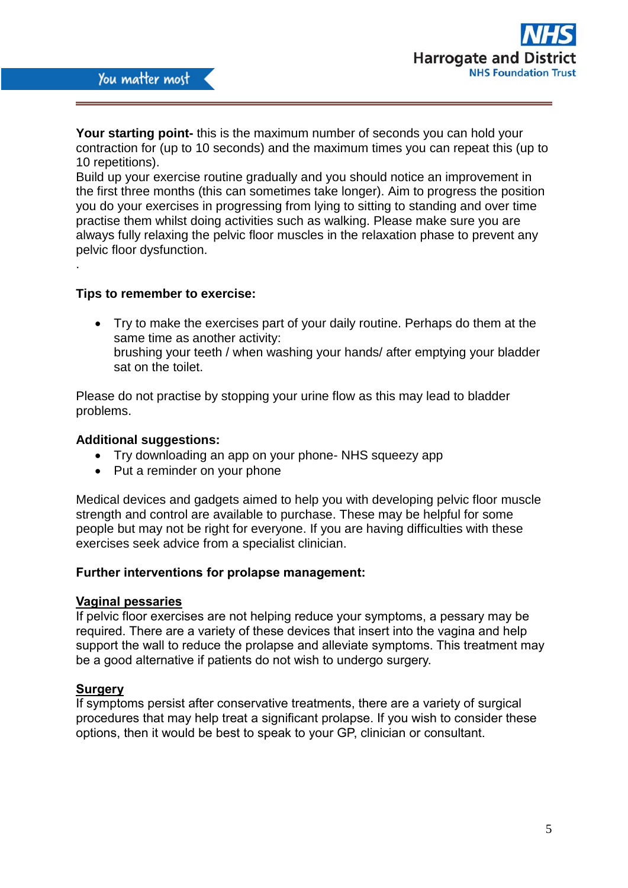

**Your starting point-** this is the maximum number of seconds you can hold your contraction for (up to 10 seconds) and the maximum times you can repeat this (up to 10 repetitions).

Build up your exercise routine gradually and you should notice an improvement in the first three months (this can sometimes take longer). Aim to progress the position you do your exercises in progressing from lying to sitting to standing and over time practise them whilst doing activities such as walking. Please make sure you are always fully relaxing the pelvic floor muscles in the relaxation phase to prevent any pelvic floor dysfunction.

#### **Tips to remember to exercise:**

.

 Try to make the exercises part of your daily routine. Perhaps do them at the same time as another activity: brushing your teeth / when washing your hands/ after emptying your bladder sat on the toilet.

Please do not practise by stopping your urine flow as this may lead to bladder problems.

#### **Additional suggestions:**

- Try downloading an app on your phone- NHS squeezy app
- Put a reminder on your phone

Medical devices and gadgets aimed to help you with developing pelvic floor muscle strength and control are available to purchase. These may be helpful for some people but may not be right for everyone. If you are having difficulties with these exercises seek advice from a specialist clinician.

#### **Further interventions for prolapse management:**

#### **Vaginal pessaries**

If pelvic floor exercises are not helping reduce your symptoms, a pessary may be required. There are a variety of these devices that insert into the vagina and help support the wall to reduce the prolapse and alleviate symptoms. This treatment may be a good alternative if patients do not wish to undergo surgery.

#### **Surgery**

If symptoms persist after conservative treatments, there are a variety of surgical procedures that may help treat a significant prolapse. If you wish to consider these options, then it would be best to speak to your GP, clinician or consultant.